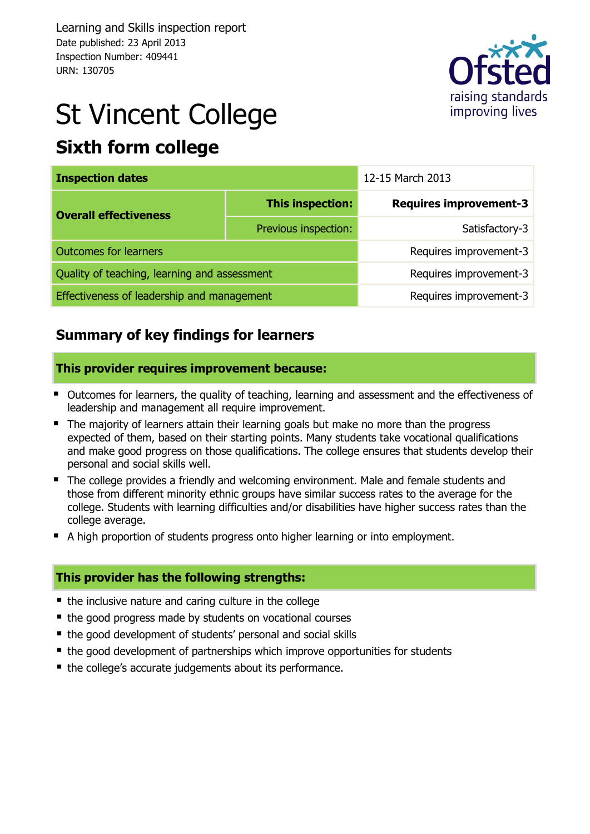Learning and Skills inspection report Date published: 23 April 2013 Inspection Number: 409441 URN: 130705



# St Vincent College **Sixth form college**

| <b>Inspection dates</b>                      |                      | 12-15 March 2013              |  |  |
|----------------------------------------------|----------------------|-------------------------------|--|--|
| <b>Overall effectiveness</b>                 | This inspection:     | <b>Requires improvement-3</b> |  |  |
|                                              | Previous inspection: | Satisfactory-3                |  |  |
| <b>Outcomes for learners</b>                 |                      | Requires improvement-3        |  |  |
| Quality of teaching, learning and assessment |                      | Requires improvement-3        |  |  |
| Effectiveness of leadership and management   |                      | Requires improvement-3        |  |  |

### **Summary of key findings for learners**

#### **This provider requires improvement because:**

- Outcomes for learners, the quality of teaching, learning and assessment and the effectiveness of leadership and management all require improvement.
- The majority of learners attain their learning goals but make no more than the progress expected of them, based on their starting points. Many students take vocational qualifications and make good progress on those qualifications. The college ensures that students develop their personal and social skills well.
- The college provides a friendly and welcoming environment. Male and female students and those from different minority ethnic groups have similar success rates to the average for the college. Students with learning difficulties and/or disabilities have higher success rates than the college average.
- A high proportion of students progress onto higher learning or into employment.

#### **This provider has the following strengths:**

- the inclusive nature and caring culture in the college
- the good progress made by students on vocational courses
- the good development of students' personal and social skills
- the good development of partnerships which improve opportunities for students
- the college's accurate judgements about its performance.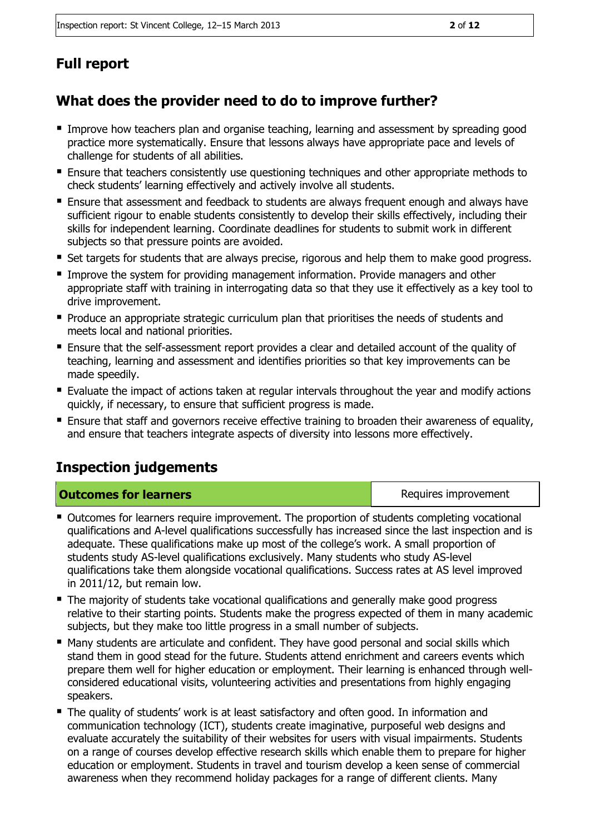## **Full report**

## **What does the provider need to do to improve further?**

- Improve how teachers plan and organise teaching, learning and assessment by spreading good practice more systematically. Ensure that lessons always have appropriate pace and levels of challenge for students of all abilities.
- Ensure that teachers consistently use questioning techniques and other appropriate methods to check students' learning effectively and actively involve all students.
- Ensure that assessment and feedback to students are always frequent enough and always have sufficient rigour to enable students consistently to develop their skills effectively, including their skills for independent learning. Coordinate deadlines for students to submit work in different subjects so that pressure points are avoided.
- **Set targets for students that are always precise, rigorous and help them to make good progress.**
- Improve the system for providing management information. Provide managers and other appropriate staff with training in interrogating data so that they use it effectively as a key tool to drive improvement.
- **Produce an appropriate strategic curriculum plan that prioritises the needs of students and** meets local and national priorities.
- Ensure that the self-assessment report provides a clear and detailed account of the quality of teaching, learning and assessment and identifies priorities so that key improvements can be made speedily.
- Evaluate the impact of actions taken at regular intervals throughout the year and modify actions quickly, if necessary, to ensure that sufficient progress is made.
- **Ensure that staff and governors receive effective training to broaden their awareness of equality,** and ensure that teachers integrate aspects of diversity into lessons more effectively.

## **Inspection judgements**

#### **Outcomes for learners Requires improvement Requires improvement**

- Outcomes for learners require improvement. The proportion of students completing vocational qualifications and A-level qualifications successfully has increased since the last inspection and is adequate. These qualifications make up most of the college's work. A small proportion of students study AS-level qualifications exclusively. Many students who study AS-level qualifications take them alongside vocational qualifications. Success rates at AS level improved in 2011/12, but remain low.
- The majority of students take vocational qualifications and generally make good progress relative to their starting points. Students make the progress expected of them in many academic subjects, but they make too little progress in a small number of subjects.
- Many students are articulate and confident. They have good personal and social skills which stand them in good stead for the future. Students attend enrichment and careers events which prepare them well for higher education or employment. Their learning is enhanced through wellconsidered educational visits, volunteering activities and presentations from highly engaging speakers.
- The quality of students' work is at least satisfactory and often good. In information and communication technology (ICT), students create imaginative, purposeful web designs and evaluate accurately the suitability of their websites for users with visual impairments. Students on a range of courses develop effective research skills which enable them to prepare for higher education or employment. Students in travel and tourism develop a keen sense of commercial awareness when they recommend holiday packages for a range of different clients. Many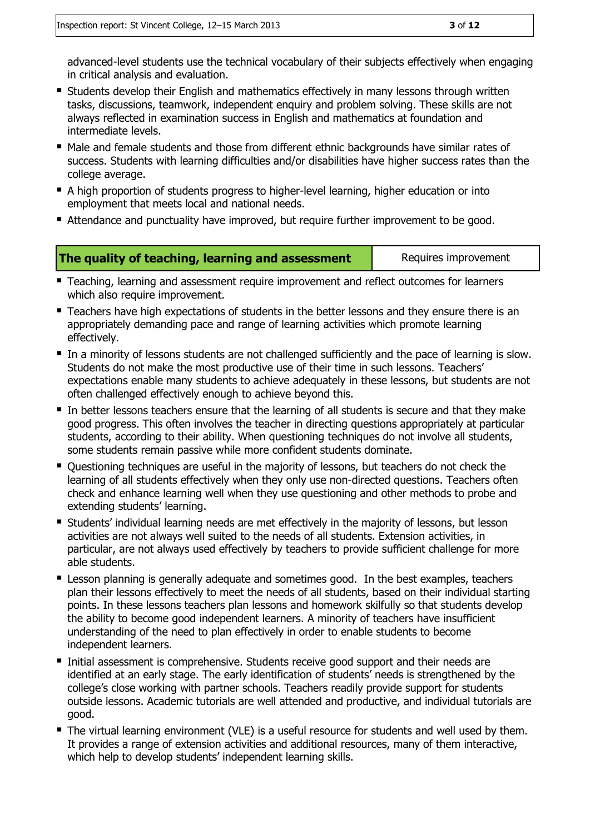advanced-level students use the technical vocabulary of their subjects effectively when engaging in critical analysis and evaluation.

- **Students develop their English and mathematics effectively in many lessons through written** tasks, discussions, teamwork, independent enquiry and problem solving. These skills are not always reflected in examination success in English and mathematics at foundation and intermediate levels.
- Male and female students and those from different ethnic backgrounds have similar rates of success. Students with learning difficulties and/or disabilities have higher success rates than the college average.
- A high proportion of students progress to higher-level learning, higher education or into employment that meets local and national needs.
- Attendance and punctuality have improved, but require further improvement to be good.

| The quality of teaching, learning and assessment | Requires improvement |
|--------------------------------------------------|----------------------|
|--------------------------------------------------|----------------------|

- **Teaching, learning and assessment require improvement and reflect outcomes for learners** which also require improvement.
- **Teachers have high expectations of students in the better lessons and they ensure there is an** appropriately demanding pace and range of learning activities which promote learning effectively.
- In a minority of lessons students are not challenged sufficiently and the pace of learning is slow. Students do not make the most productive use of their time in such lessons. Teachers' expectations enable many students to achieve adequately in these lessons, but students are not often challenged effectively enough to achieve beyond this.
- In better lessons teachers ensure that the learning of all students is secure and that they make good progress. This often involves the teacher in directing questions appropriately at particular students, according to their ability. When questioning techniques do not involve all students, some students remain passive while more confident students dominate.
- Ouestioning techniques are useful in the majority of lessons, but teachers do not check the learning of all students effectively when they only use non-directed questions. Teachers often check and enhance learning well when they use questioning and other methods to probe and extending students' learning.
- Students' individual learning needs are met effectively in the majority of lessons, but lesson activities are not always well suited to the needs of all students. Extension activities, in particular, are not always used effectively by teachers to provide sufficient challenge for more able students.
- **E** Lesson planning is generally adequate and sometimes good. In the best examples, teachers plan their lessons effectively to meet the needs of all students, based on their individual starting points. In these lessons teachers plan lessons and homework skilfully so that students develop the ability to become good independent learners. A minority of teachers have insufficient understanding of the need to plan effectively in order to enable students to become independent learners.
- **Initial assessment is comprehensive. Students receive good support and their needs are** identified at an early stage. The early identification of students' needs is strengthened by the college's close working with partner schools. Teachers readily provide support for students outside lessons. Academic tutorials are well attended and productive, and individual tutorials are good.
- The virtual learning environment (VLE) is a useful resource for students and well used by them. It provides a range of extension activities and additional resources, many of them interactive, which help to develop students' independent learning skills.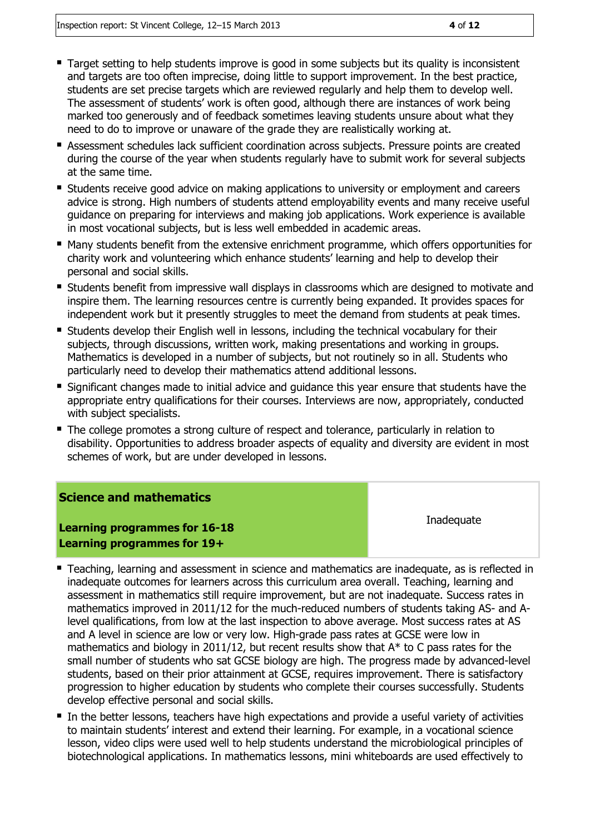- Target setting to help students improve is good in some subjects but its quality is inconsistent and targets are too often imprecise, doing little to support improvement. In the best practice, students are set precise targets which are reviewed regularly and help them to develop well. The assessment of students' work is often good, although there are instances of work being marked too generously and of feedback sometimes leaving students unsure about what they need to do to improve or unaware of the grade they are realistically working at.
- **Assessment schedules lack sufficient coordination across subjects. Pressure points are created** during the course of the year when students regularly have to submit work for several subjects at the same time.
- **Students receive good advice on making applications to university or employment and careers** advice is strong. High numbers of students attend emplovability events and many receive useful guidance on preparing for interviews and making job applications. Work experience is available in most vocational subjects, but is less well embedded in academic areas.
- **Many students benefit from the extensive enrichment programme, which offers opportunities for** charity work and volunteering which enhance students' learning and help to develop their personal and social skills.
- **Students benefit from impressive wall displays in classrooms which are designed to motivate and** inspire them. The learning resources centre is currently being expanded. It provides spaces for independent work but it presently struggles to meet the demand from students at peak times.
- Students develop their English well in lessons, including the technical vocabulary for their subjects, through discussions, written work, making presentations and working in groups. Mathematics is developed in a number of subjects, but not routinely so in all. Students who particularly need to develop their mathematics attend additional lessons.
- **Significant changes made to initial advice and guidance this year ensure that students have the** appropriate entry qualifications for their courses. Interviews are now, appropriately, conducted with subject specialists.
- The college promotes a strong culture of respect and tolerance, particularly in relation to disability. Opportunities to address broader aspects of equality and diversity are evident in most schemes of work, but are under developed in lessons.

#### **Science and mathematics**

**Learning programmes for 16-18 Learning programmes for 19+**

**Inadequate** 

- **Teaching, learning and assessment in science and mathematics are inadequate, as is reflected in** inadequate outcomes for learners across this curriculum area overall. Teaching, learning and assessment in mathematics still require improvement, but are not inadequate. Success rates in mathematics improved in 2011/12 for the much-reduced numbers of students taking AS- and Alevel qualifications, from low at the last inspection to above average. Most success rates at AS and A level in science are low or very low. High-grade pass rates at GCSE were low in mathematics and biology in 2011/12, but recent results show that A\* to C pass rates for the small number of students who sat GCSE biology are high. The progress made by advanced-level students, based on their prior attainment at GCSE, requires improvement. There is satisfactory progression to higher education by students who complete their courses successfully. Students develop effective personal and social skills.
- In the better lessons, teachers have high expectations and provide a useful variety of activities to maintain students' interest and extend their learning. For example, in a vocational science lesson, video clips were used well to help students understand the microbiological principles of biotechnological applications. In mathematics lessons, mini whiteboards are used effectively to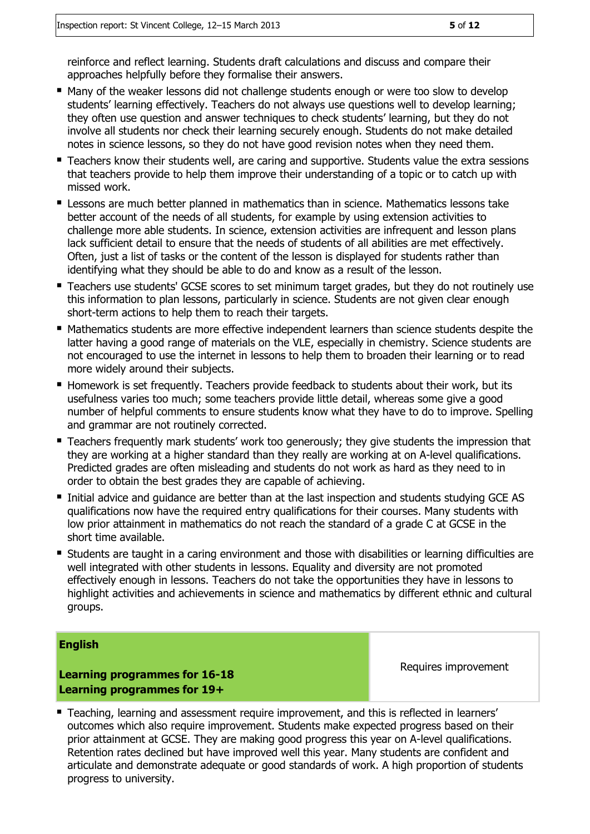reinforce and reflect learning. Students draft calculations and discuss and compare their approaches helpfully before they formalise their answers.

- Many of the weaker lessons did not challenge students enough or were too slow to develop students' learning effectively. Teachers do not always use questions well to develop learning; they often use question and answer techniques to check students' learning, but they do not involve all students nor check their learning securely enough. Students do not make detailed notes in science lessons, so they do not have good revision notes when they need them.
- Teachers know their students well, are caring and supportive. Students value the extra sessions that teachers provide to help them improve their understanding of a topic or to catch up with missed work.
- **E** Lessons are much better planned in mathematics than in science. Mathematics lessons take better account of the needs of all students, for example by using extension activities to challenge more able students. In science, extension activities are infrequent and lesson plans lack sufficient detail to ensure that the needs of students of all abilities are met effectively. Often, just a list of tasks or the content of the lesson is displayed for students rather than identifying what they should be able to do and know as a result of the lesson.
- **Teachers use students' GCSE scores to set minimum target grades, but they do not routinely use** this information to plan lessons, particularly in science. Students are not given clear enough short-term actions to help them to reach their targets.
- Mathematics students are more effective independent learners than science students despite the latter having a good range of materials on the VLE, especially in chemistry. Science students are not encouraged to use the internet in lessons to help them to broaden their learning or to read more widely around their subjects.
- Homework is set frequently. Teachers provide feedback to students about their work, but its usefulness varies too much; some teachers provide little detail, whereas some give a good number of helpful comments to ensure students know what they have to do to improve. Spelling and grammar are not routinely corrected.
- **Teachers frequently mark students' work too generously; they give students the impression that** they are working at a higher standard than they really are working at on A-level qualifications. Predicted grades are often misleading and students do not work as hard as they need to in order to obtain the best grades they are capable of achieving.
- Initial advice and quidance are better than at the last inspection and students studying GCE AS qualifications now have the required entry qualifications for their courses. Many students with low prior attainment in mathematics do not reach the standard of a grade C at GCSE in the short time available.
- Students are taught in a caring environment and those with disabilities or learning difficulties are well integrated with other students in lessons. Equality and diversity are not promoted effectively enough in lessons. Teachers do not take the opportunities they have in lessons to highlight activities and achievements in science and mathematics by different ethnic and cultural groups.

#### **English**

**Learning programmes for 16-18 Learning programmes for 19+**

Requires improvement

 Teaching, learning and assessment require improvement, and this is reflected in learners' outcomes which also require improvement. Students make expected progress based on their prior attainment at GCSE. They are making good progress this year on A-level qualifications. Retention rates declined but have improved well this year. Many students are confident and articulate and demonstrate adequate or good standards of work. A high proportion of students progress to university.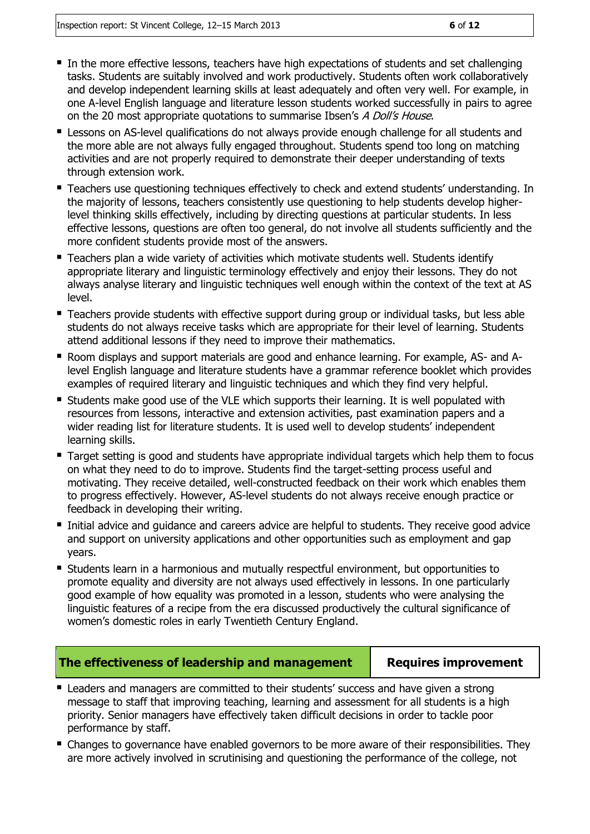- $\blacksquare$  In the more effective lessons, teachers have high expectations of students and set challenging tasks. Students are suitably involved and work productively. Students often work collaboratively and develop independent learning skills at least adequately and often very well. For example, in one A-level English language and literature lesson students worked successfully in pairs to agree on the 20 most appropriate quotations to summarise Ibsen's A Doll's House.
- **E** Lessons on AS-level qualifications do not always provide enough challenge for all students and the more able are not always fully engaged throughout. Students spend too long on matching activities and are not properly required to demonstrate their deeper understanding of texts through extension work.
- **Teachers use questioning techniques effectively to check and extend students' understanding. In** the majority of lessons, teachers consistently use questioning to help students develop higherlevel thinking skills effectively, including by directing questions at particular students. In less effective lessons, questions are often too general, do not involve all students sufficiently and the more confident students provide most of the answers.
- **Teachers plan a wide variety of activities which motivate students well. Students identify** appropriate literary and linguistic terminology effectively and enjoy their lessons. They do not always analyse literary and linguistic techniques well enough within the context of the text at AS level.
- Teachers provide students with effective support during group or individual tasks, but less able students do not always receive tasks which are appropriate for their level of learning. Students attend additional lessons if they need to improve their mathematics.
- Room displays and support materials are good and enhance learning. For example, AS- and Alevel English language and literature students have a grammar reference booklet which provides examples of required literary and linguistic techniques and which they find very helpful.
- **Students make good use of the VLE which supports their learning. It is well populated with** resources from lessons, interactive and extension activities, past examination papers and a wider reading list for literature students. It is used well to develop students' independent learning skills.
- **Target setting is good and students have appropriate individual targets which help them to focus** on what they need to do to improve. Students find the target-setting process useful and motivating. They receive detailed, well-constructed feedback on their work which enables them to progress effectively. However, AS-level students do not always receive enough practice or feedback in developing their writing.
- **Initial advice and quidance and careers advice are helpful to students. They receive good advice** and support on university applications and other opportunities such as employment and gap years.
- Students learn in a harmonious and mutually respectful environment, but opportunities to promote equality and diversity are not always used effectively in lessons. In one particularly good example of how equality was promoted in a lesson, students who were analysing the linguistic features of a recipe from the era discussed productively the cultural significance of women's domestic roles in early Twentieth Century England.

#### **The effectiveness of leadership and management | Requires improvement**

- Leaders and managers are committed to their students' success and have given a strong message to staff that improving teaching, learning and assessment for all students is a high priority. Senior managers have effectively taken difficult decisions in order to tackle poor performance by staff.
- **E** Changes to governance have enabled governors to be more aware of their responsibilities. They are more actively involved in scrutinising and questioning the performance of the college, not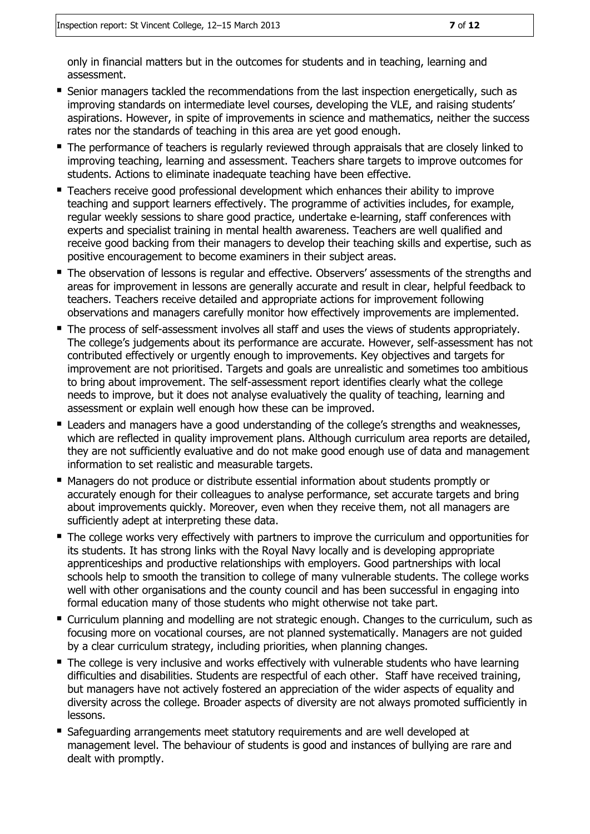only in financial matters but in the outcomes for students and in teaching, learning and assessment.

- **Senior managers tackled the recommendations from the last inspection energetically, such as** improving standards on intermediate level courses, developing the VLE, and raising students' aspirations. However, in spite of improvements in science and mathematics, neither the success rates nor the standards of teaching in this area are yet good enough.
- The performance of teachers is regularly reviewed through appraisals that are closely linked to improving teaching, learning and assessment. Teachers share targets to improve outcomes for students. Actions to eliminate inadequate teaching have been effective.
- Teachers receive good professional development which enhances their ability to improve teaching and support learners effectively. The programme of activities includes, for example, regular weekly sessions to share good practice, undertake e-learning, staff conferences with experts and specialist training in mental health awareness. Teachers are well qualified and receive good backing from their managers to develop their teaching skills and expertise, such as positive encouragement to become examiners in their subject areas.
- The observation of lessons is regular and effective. Observers' assessments of the strengths and areas for improvement in lessons are generally accurate and result in clear, helpful feedback to teachers. Teachers receive detailed and appropriate actions for improvement following observations and managers carefully monitor how effectively improvements are implemented.
- The process of self-assessment involves all staff and uses the views of students appropriately. The college's judgements about its performance are accurate. However, self-assessment has not contributed effectively or urgently enough to improvements. Key objectives and targets for improvement are not prioritised. Targets and goals are unrealistic and sometimes too ambitious to bring about improvement. The self-assessment report identifies clearly what the college needs to improve, but it does not analyse evaluatively the quality of teaching, learning and assessment or explain well enough how these can be improved.
- Leaders and managers have a good understanding of the college's strengths and weaknesses, which are reflected in quality improvement plans. Although curriculum area reports are detailed, they are not sufficiently evaluative and do not make good enough use of data and management information to set realistic and measurable targets.
- Managers do not produce or distribute essential information about students promptly or accurately enough for their colleagues to analyse performance, set accurate targets and bring about improvements quickly. Moreover, even when they receive them, not all managers are sufficiently adept at interpreting these data.
- The college works very effectively with partners to improve the curriculum and opportunities for its students. It has strong links with the Royal Navy locally and is developing appropriate apprenticeships and productive relationships with employers. Good partnerships with local schools help to smooth the transition to college of many vulnerable students. The college works well with other organisations and the county council and has been successful in engaging into formal education many of those students who might otherwise not take part.
- Curriculum planning and modelling are not strategic enough. Changes to the curriculum, such as focusing more on vocational courses, are not planned systematically. Managers are not guided by a clear curriculum strategy, including priorities, when planning changes.
- The college is very inclusive and works effectively with vulnerable students who have learning difficulties and disabilities. Students are respectful of each other. Staff have received training, but managers have not actively fostered an appreciation of the wider aspects of equality and diversity across the college. Broader aspects of diversity are not always promoted sufficiently in lessons.
- Safequarding arrangements meet statutory requirements and are well developed at management level. The behaviour of students is good and instances of bullying are rare and dealt with promptly.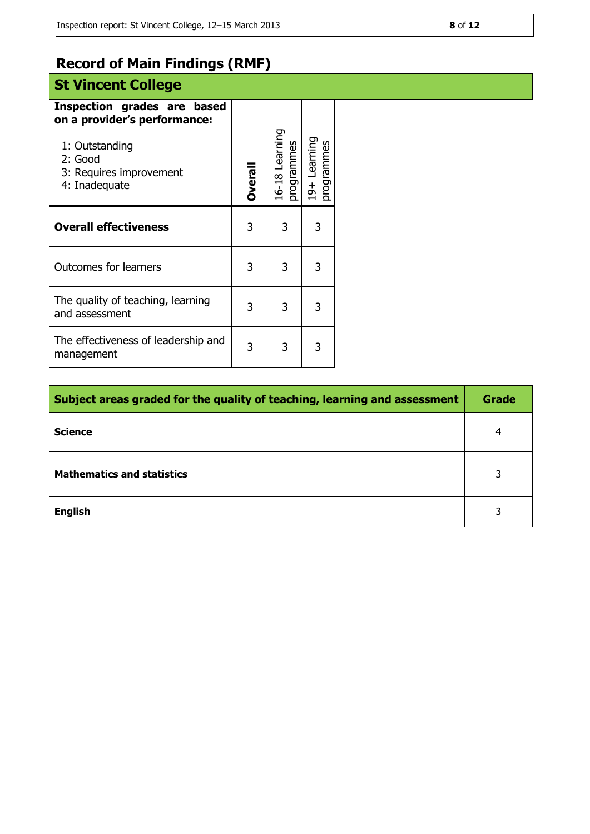## **Record of Main Findings (RMF)**

## **St Vincent College Inspection grades are based**

| on a provider's performance:<br>1: Outstanding<br>2: Good<br>3: Requires improvement<br>4: Inadequate | Overall | 16-18 Learning<br>programmes | 19+ Learning<br>programmes |  |
|-------------------------------------------------------------------------------------------------------|---------|------------------------------|----------------------------|--|
| <b>Overall effectiveness</b>                                                                          | 3       | 3<br>3                       |                            |  |
| <b>Outcomes for learners</b>                                                                          | 3       | 3                            | 3                          |  |
| The quality of teaching, learning<br>and assessment                                                   | 3       | 3                            | 3                          |  |
| The effectiveness of leadership and<br>management                                                     | 3       | 3                            | 3                          |  |

| Subject areas graded for the quality of teaching, learning and assessment |   |  |
|---------------------------------------------------------------------------|---|--|
| <b>Science</b>                                                            | 4 |  |
| <b>Mathematics and statistics</b>                                         | 3 |  |
| <b>English</b>                                                            | 3 |  |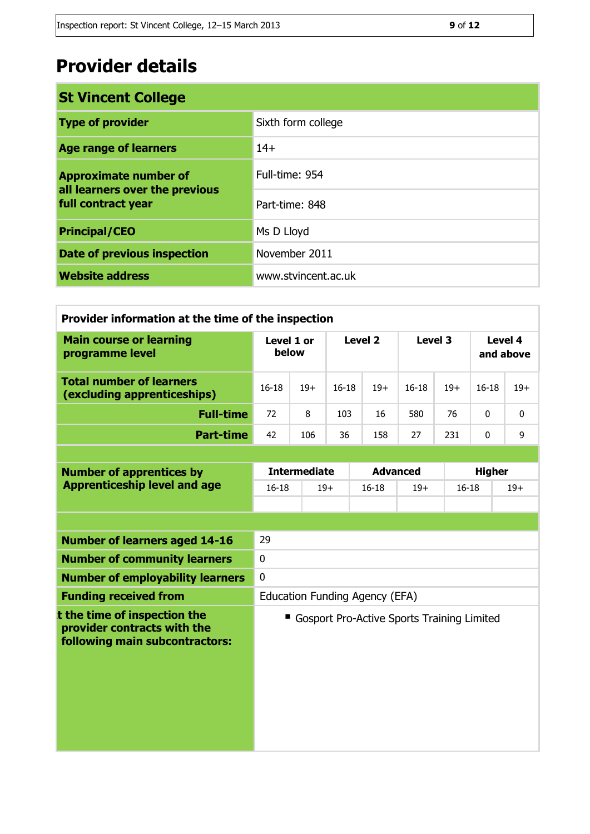## **Provider details**

| <b>St Vincent College</b>                            |                     |  |
|------------------------------------------------------|---------------------|--|
| <b>Type of provider</b>                              | Sixth form college  |  |
| <b>Age range of learners</b>                         | $14+$               |  |
| <b>Approximate number of</b>                         | Full-time: 954      |  |
| all learners over the previous<br>full contract year | Part-time: 848      |  |
| <b>Principal/CEO</b>                                 | Ms D Lloyd          |  |
| Date of previous inspection                          | November 2011       |  |
| <b>Website address</b>                               | www.stvincent.ac.uk |  |

| Provider information at the time of the inspection                                            |                                           |       |           |                 |                                            |                      |               |       |  |
|-----------------------------------------------------------------------------------------------|-------------------------------------------|-------|-----------|-----------------|--------------------------------------------|----------------------|---------------|-------|--|
| <b>Main course or learning</b><br>programme level                                             | Level 1 or<br>Level <sub>2</sub><br>below |       |           | Level 3         |                                            | Level 4<br>and above |               |       |  |
| <b>Total number of learners</b><br>(excluding apprenticeships)                                | $16 - 18$                                 | $19+$ | $16 - 18$ | $19+$           | $16-18$                                    | $19+$                | $16 - 18$     | $19+$ |  |
| <b>Full-time</b>                                                                              | 72                                        | 8     | 103       | 16              | 580                                        | 76                   | $\mathbf{0}$  | 0     |  |
| <b>Part-time</b>                                                                              | 42                                        | 106   | 36        | 158             | 27                                         | 231                  | $\mathbf 0$   | 9     |  |
|                                                                                               |                                           |       |           |                 |                                            |                      |               |       |  |
| <b>Number of apprentices by</b>                                                               | <b>Intermediate</b>                       |       |           | <b>Advanced</b> |                                            |                      | <b>Higher</b> |       |  |
| <b>Apprenticeship level and age</b>                                                           | $16 - 18$                                 |       | $19+$     | $16 - 18$       | $19+$                                      | $16 - 18$            |               | $19+$ |  |
|                                                                                               |                                           |       |           |                 |                                            |                      |               |       |  |
| <b>Number of learners aged 14-16</b>                                                          | 29                                        |       |           |                 |                                            |                      |               |       |  |
| <b>Number of community learners</b>                                                           | $\mathbf 0$                               |       |           |                 |                                            |                      |               |       |  |
| <b>Number of employability learners</b>                                                       | $\mathbf 0$                               |       |           |                 |                                            |                      |               |       |  |
| <b>Funding received from</b>                                                                  | Education Funding Agency (EFA)            |       |           |                 |                                            |                      |               |       |  |
| t the time of inspection the<br>provider contracts with the<br>following main subcontractors: |                                           |       |           |                 | Gosport Pro-Active Sports Training Limited |                      |               |       |  |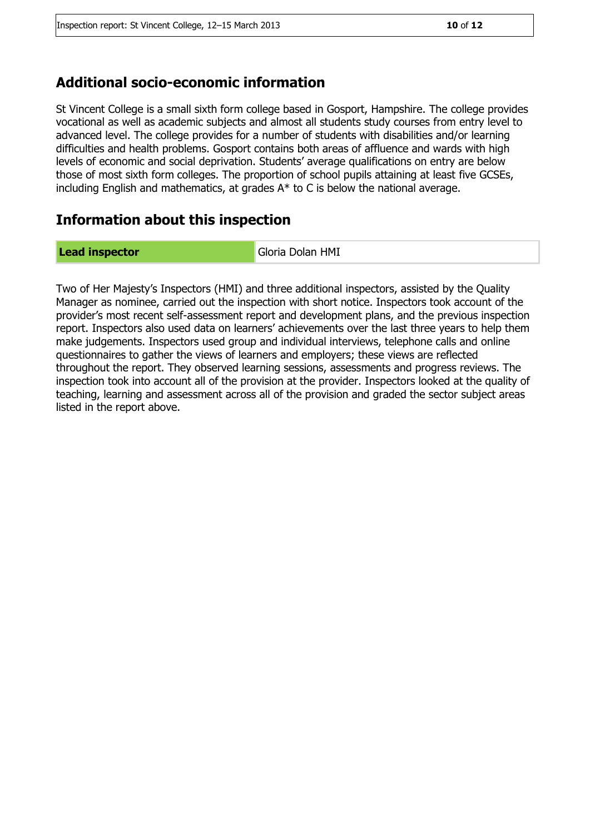#### **Additional socio-economic information**

St Vincent College is a small sixth form college based in Gosport, Hampshire. The college provides vocational as well as academic subjects and almost all students study courses from entry level to advanced level. The college provides for a number of students with disabilities and/or learning difficulties and health problems. Gosport contains both areas of affluence and wards with high levels of economic and social deprivation. Students' average qualifications on entry are below those of most sixth form colleges. The proportion of school pupils attaining at least five GCSEs, including English and mathematics, at grades A\* to C is below the national average.

#### **Information about this inspection**

**Lead inspector** Gloria Dolan HMI

Two of Her Majesty's Inspectors (HMI) and three additional inspectors, assisted by the Quality Manager as nominee, carried out the inspection with short notice. Inspectors took account of the provider's most recent self-assessment report and development plans, and the previous inspection report. Inspectors also used data on learners' achievements over the last three years to help them make judgements. Inspectors used group and individual interviews, telephone calls and online questionnaires to gather the views of learners and employers; these views are reflected throughout the report. They observed learning sessions, assessments and progress reviews. The inspection took into account all of the provision at the provider. Inspectors looked at the quality of teaching, learning and assessment across all of the provision and graded the sector subject areas listed in the report above.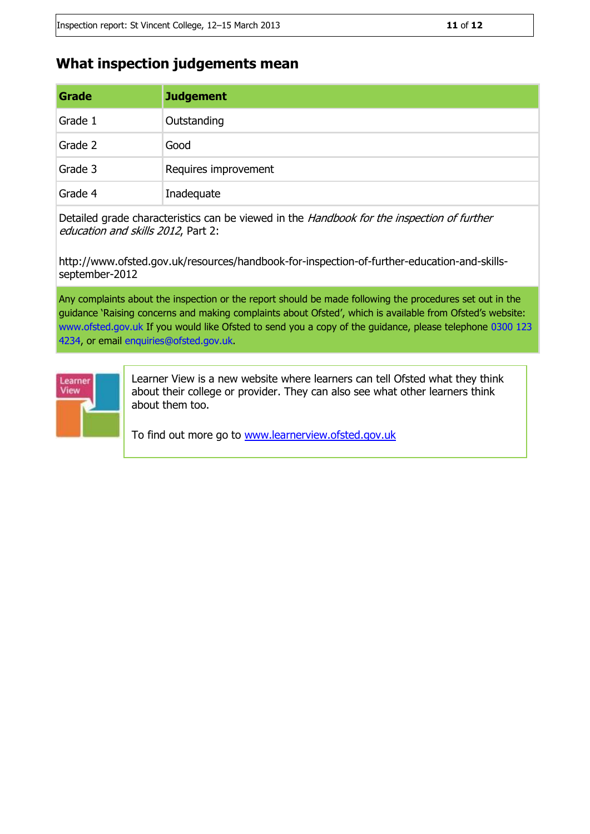### **What inspection judgements mean**

| Grade   | <b>Judgement</b>     |
|---------|----------------------|
| Grade 1 | Outstanding          |
| Grade 2 | Good                 |
| Grade 3 | Requires improvement |
| Grade 4 | Inadequate           |

Detailed grade characteristics can be viewed in the Handbook for the inspection of further education and skills 2012, Part 2:

http://www.ofsted.gov.uk/resources/handbook-for-inspection-of-further-education-and-skillsseptember-2012

Any complaints about the inspection or the report should be made following the procedures set out in the guidance 'Raising concerns and making complaints about Ofsted', which is available from Ofsted's website: www.ofsted.gov.uk If you would like Ofsted to send you a copy of the guidance, please telephone 0300 123 4234, or email enquiries@ofsted.gov.uk.



Learner View is a new website where learners can tell Ofsted what they think about their college or provider. They can also see what other learners think about them too.

To find out more go to [www.learnerview.ofsted.gov.uk](http://www.learnerview.ofsted.gov.uk/)